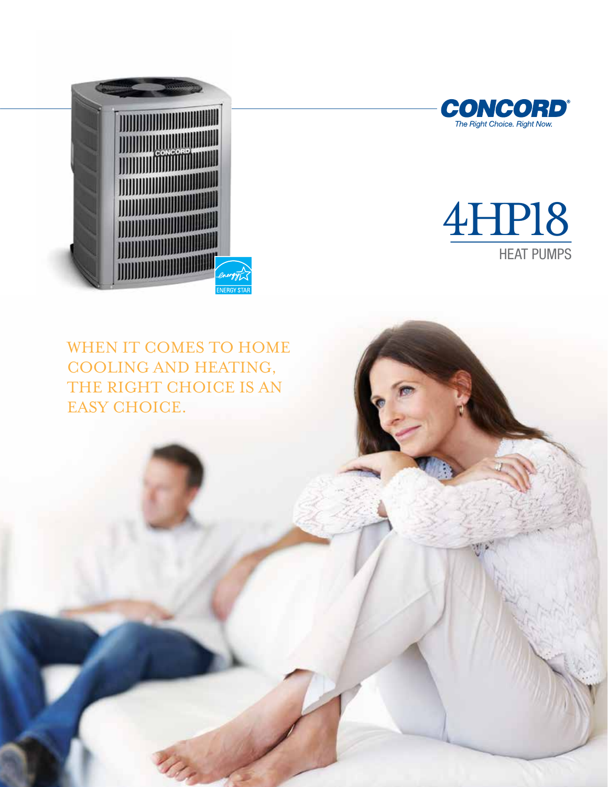





WHEN IT COMES TO HOME cooling and heating, THE RIGHT CHOICE IS AN EASY CHOICE.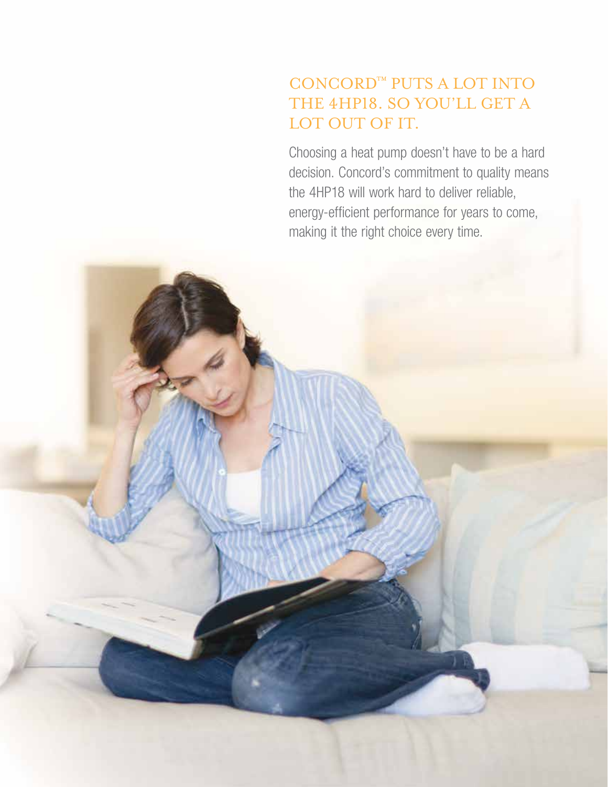# concord™ puts a lot into THE 4HP18. SO YOU'LL GET A LOT OUT OF IT.

Choosing a heat pump doesn't have to be a hard decision. Concord's commitment to quality means the 4HP18 will work hard to deliver reliable, energy-efficient performance for years to come, making it the right choice every time.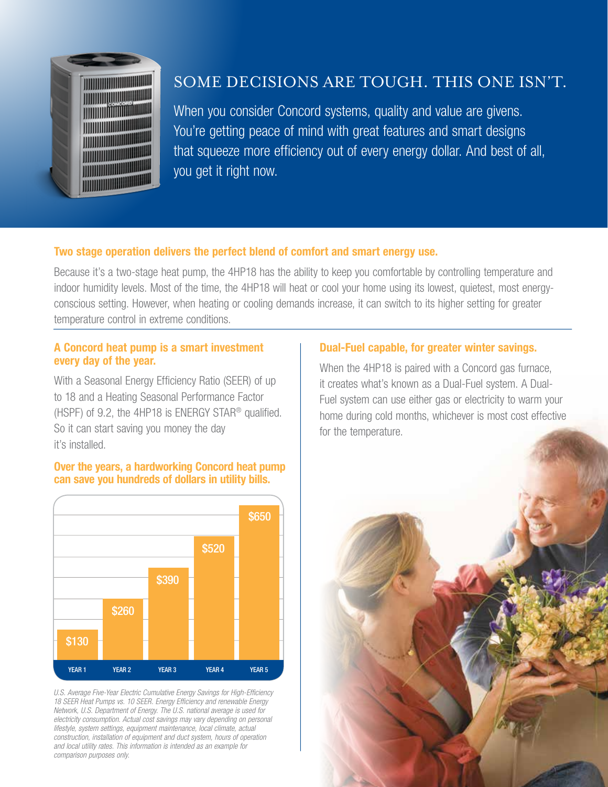

### Some decisions are tough. This one isn't.

When you consider Concord systems, quality and value are givens. You're getting peace of mind with great features and smart designs that squeeze more efficiency out of every energy dollar. And best of all, you get it right now.

#### Two stage operation delivers the perfect blend of comfort and smart energy use.

Because it's a two-stage heat pump, the 4HP18 has the ability to keep you comfortable by controlling temperature and indoor humidity levels. Most of the time, the 4HP18 will heat or cool your home using its lowest, quietest, most energyconscious setting. However, when heating or cooling demands increase, it can switch to its higher setting for greater temperature control in extreme conditions.

#### A Concord heat pump is a smart investment every day of the year.

With a Seasonal Energy Efficiency Ratio (SEER) of up to 18 and a Heating Seasonal Performance Factor (HSPF) of 9.2, the 4HP18 is ENERGY STAR® qualified. So it can start saving you money the day it's installed.

#### Over the years, a hardworking Concord heat pump can save you hundreds of dollars in utility bills.



*U.S. Average Five-Year Electric Cumulative Energy Savings for High-Efficiency 18 SEER Heat Pumps vs. 10 SEER. Energy Efficiency and renewable Energy Network, U.S. Department of Energy. The U.S. national average is used for electricity consumption. Actual cost savings may vary depending on personal lifestyle, system settings, equipment maintenance, local climate, actual construction, installation of equipment and duct system, hours of operation and local utility rates. This information is intended as an example for comparison purposes only.*

### Dual-Fuel capable, for greater winter savings.

When the 4HP18 is paired with a Concord gas furnace, it creates what's known as a Dual-Fuel system. A Dual-Fuel system can use either gas or electricity to warm your home during cold months, whichever is most cost effective for the temperature.